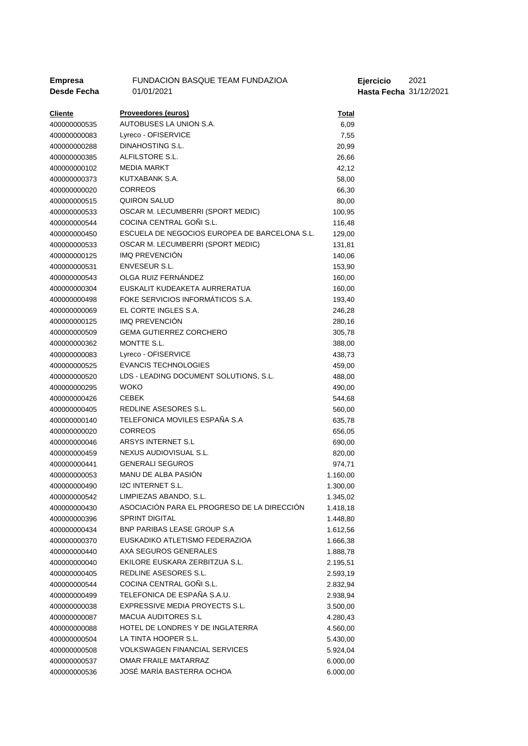| <b>Empresa</b> | FUNDACION BASQUE TEAM FUNDAZIOA               |              | Ejercicio              | 2021 |
|----------------|-----------------------------------------------|--------------|------------------------|------|
| Desde Fecha    | 01/01/2021                                    |              | Hasta Fecha 31/12/2021 |      |
|                |                                               |              |                        |      |
| <b>Cliente</b> | Proveedores (euros)                           | <u>Total</u> |                        |      |
| 400000000535   | AUTOBUSES LA UNION S.A.                       | 6,09         |                        |      |
| 400000000083   | Lyreco - OFISERVICE                           | 7,55         |                        |      |
| 400000000288   | DINAHOSTING S.L.                              | 20,99        |                        |      |
| 400000000385   | ALFILSTORE S.L.                               | 26,66        |                        |      |
| 400000000102   | <b>MEDIA MARKT</b>                            | 42,12        |                        |      |
| 400000000373   | KUTXABANK S.A.                                | 58,00        |                        |      |
| 400000000020   | <b>CORREOS</b>                                | 66,30        |                        |      |
| 400000000515   | <b>QUIRON SALUD</b>                           | 80,00        |                        |      |
| 400000000533   | OSCAR M. LECUMBERRI (SPORT MEDIC)             | 100,95       |                        |      |
| 400000000544   | COCINA CENTRAL GOÑI S.L.                      | 116,48       |                        |      |
| 400000000450   | ESCUELA DE NEGOCIOS EUROPEA DE BARCELONA S.L. | 129,00       |                        |      |
| 400000000533   | OSCAR M. LECUMBERRI (SPORT MEDIC)             | 131,81       |                        |      |
| 400000000125   | IMQ PREVENCIÓN                                | 140,06       |                        |      |
| 400000000531   | <b>ENVESEUR S.L.</b>                          | 153,90       |                        |      |
| 400000000543   | OLGA RUIZ FERNÁNDEZ                           | 160,00       |                        |      |
| 400000000304   | EUSKALIT KUDEAKETA AURRERATUA                 | 160,00       |                        |      |
| 400000000498   | FOKE SERVICIOS INFORMÁTICOS S.A.              | 193,40       |                        |      |
| 400000000069   | EL CORTE INGLES S.A.                          | 246,28       |                        |      |
| 400000000125   | <b>IMQ PREVENCIÓN</b>                         | 280,16       |                        |      |
| 400000000509   | <b>GEMA GUTIERREZ CORCHERO</b>                | 305,78       |                        |      |
| 400000000362   | MONTTE S.L.                                   | 388,00       |                        |      |
| 400000000083   | Lyreco - OFISERVICE                           | 438,73       |                        |      |
| 400000000525   | <b>EVANCIS TECHNOLOGIES</b>                   | 459,00       |                        |      |
| 400000000520   | LDS - LEADING DOCUMENT SOLUTIONS, S.L.        | 488,00       |                        |      |
| 400000000295   | <b>WOKO</b>                                   | 490,00       |                        |      |
| 400000000426   | <b>CEBEK</b>                                  | 544,68       |                        |      |
| 400000000405   | REDLINE ASESORES S.L.                         | 560,00       |                        |      |
| 400000000140   | TELEFONICA MOVILES ESPAÑA S.A                 | 635,78       |                        |      |
| 400000000020   | <b>CORREOS</b>                                | 656,05       |                        |      |
| 400000000046   | ARSYS INTERNET S.L                            | 690,00       |                        |      |
| 400000000459   | NEXUS AUDIOVISUAL S.L.                        | 820,00       |                        |      |
| 400000000441   | <b>GENERALI SEGUROS</b>                       | 974,71       |                        |      |
| 400000000053   | MANU DE ALBA PASIÓN                           | 1.160,00     |                        |      |
| 400000000490   | <b>I2C INTERNET S.L.</b>                      | 1.300,00     |                        |      |
| 400000000542   | LIMPIEZAS ABANDO, S.L.                        | 1.345,02     |                        |      |
| 400000000430   | ASOCIACIÓN PARA EL PROGRESO DE LA DIRECCIÓN   | 1.418,18     |                        |      |
| 400000000396   | <b>SPRINT DIGITAL</b>                         | 1.448,80     |                        |      |
| 400000000434   | BNP PARIBAS LEASE GROUP S.A                   | 1.612,56     |                        |      |
| 400000000370   | EUSKADIKO ATLETISMO FEDERAZIOA                | 1.666,38     |                        |      |
| 400000000440   | AXA SEGUROS GENERALES                         | 1.888,78     |                        |      |
| 400000000040   | EKILORE EUSKARA ZERBITZUA S.L.                | 2.195,51     |                        |      |
| 400000000405   | REDLINE ASESORES S.L.                         | 2.593,19     |                        |      |
| 400000000544   | COCINA CENTRAL GOÑI S.L.                      | 2.832,94     |                        |      |
| 400000000499   | TELEFONICA DE ESPAÑA S.A.U.                   | 2.938,94     |                        |      |
| 400000000038   | EXPRESSIVE MEDIA PROYECTS S.L.                | 3.500,00     |                        |      |
| 400000000087   | <b>MACUA AUDITORES S.L</b>                    | 4.280,43     |                        |      |
| 400000000088   | HOTEL DE LONDRES Y DE INGLATERRA              | 4.560,00     |                        |      |
| 400000000504   | LA TINTA HOOPER S.L.                          | 5.430,00     |                        |      |
| 400000000508   | <b>VOLKSWAGEN FINANCIAL SERVICES</b>          | 5.924,04     |                        |      |
| 400000000537   | OMAR FRAILE MATARRAZ                          | 6.000,00     |                        |      |
| 400000000536   | JOSÉ MARÍA BASTERRA OCHOA                     | 6.000,00     |                        |      |